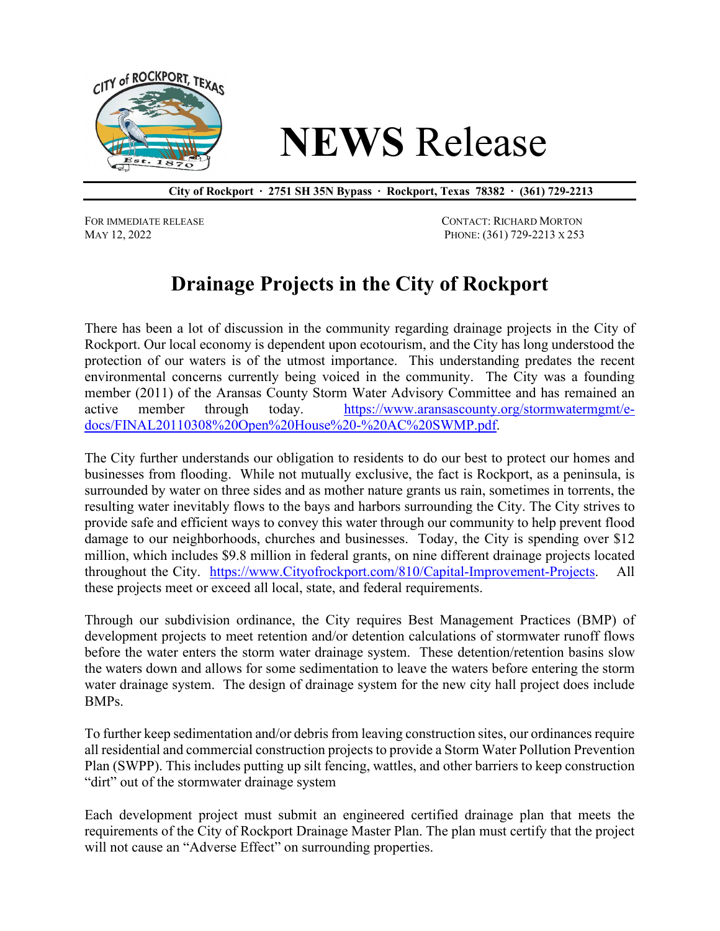

## **NEWS** Release

**City of Rockport ∙ 2751 SH 35N Bypass ∙ Rockport, Texas 78382 ∙ (361) 729-2213**

FOR IMMEDIATE RELEASE CONTACT: RICHARD MORTON MAY 12, 2022 PHONE: (361) 729-2213 X 253

## **Drainage Projects in the City of Rockport**

There has been a lot of discussion in the community regarding drainage projects in the City of Rockport. Our local economy is dependent upon ecotourism, and the City has long understood the protection of our waters is of the utmost importance. This understanding predates the recent environmental concerns currently being voiced in the community. The City was a founding member (2011) of the Aransas County Storm Water Advisory Committee and has remained an active member through today. [https://www.aransascounty.org/stormwatermgmt/e](https://www.aransascounty.org/stormwatermgmt/e-docs/FINAL20110308%20Open%20House%20-%20AC%20SWMP.pdf)[docs/FINAL20110308%20Open%20House%20-%20AC%20SWMP.pdf.](https://www.aransascounty.org/stormwatermgmt/e-docs/FINAL20110308%20Open%20House%20-%20AC%20SWMP.pdf)

The City further understands our obligation to residents to do our best to protect our homes and businesses from flooding. While not mutually exclusive, the fact is Rockport, as a peninsula, is surrounded by water on three sides and as mother nature grants us rain, sometimes in torrents, the resulting water inevitably flows to the bays and harbors surrounding the City. The City strives to provide safe and efficient ways to convey this water through our community to help prevent flood damage to our neighborhoods, churches and businesses. Today, the City is spending over \$12 million, which includes \$9.8 million in federal grants, on nine different drainage projects located throughout the City. [https://www.Cityofrockport.com/810/Capital-Improvement-Projects.](https://www.cityofrockport.com/810/Capital-Improvement-Projects) All these projects meet or exceed all local, state, and federal requirements.

Through our subdivision ordinance, the City requires Best Management Practices (BMP) of development projects to meet retention and/or detention calculations of stormwater runoff flows before the water enters the storm water drainage system. These detention/retention basins slow the waters down and allows for some sedimentation to leave the waters before entering the storm water drainage system. The design of drainage system for the new city hall project does include BMPs.

To further keep sedimentation and/or debris from leaving construction sites, our ordinances require all residential and commercial construction projects to provide a Storm Water Pollution Prevention Plan (SWPP). This includes putting up silt fencing, wattles, and other barriers to keep construction "dirt" out of the stormwater drainage system

Each development project must submit an engineered certified drainage plan that meets the requirements of the City of Rockport Drainage Master Plan. The plan must certify that the project will not cause an "Adverse Effect" on surrounding properties.